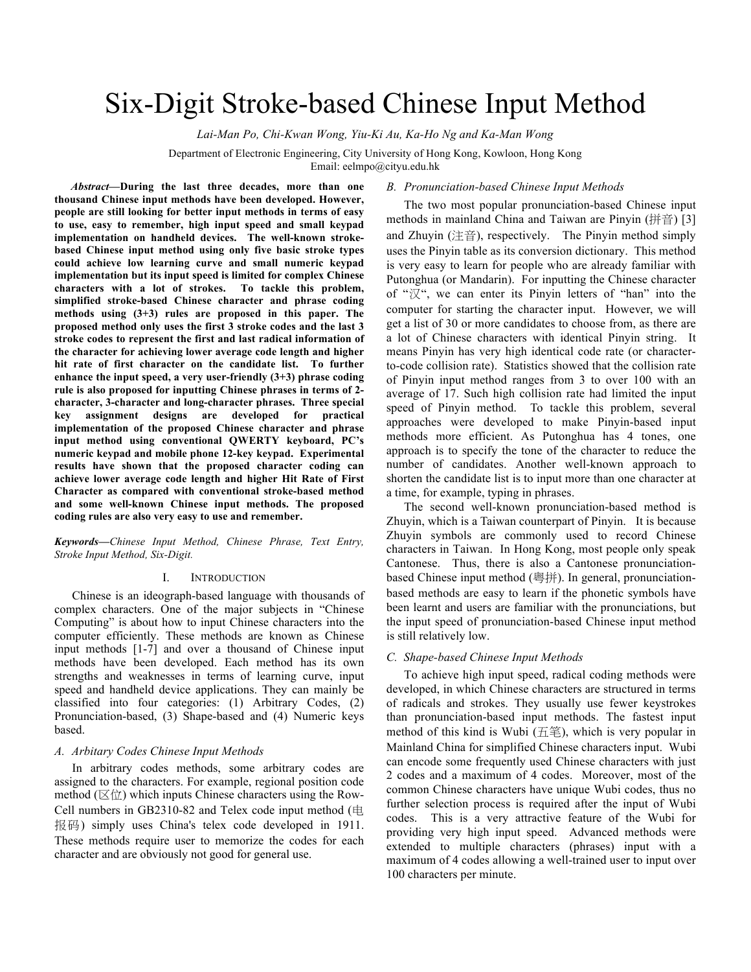# Six-Digit Stroke-based Chinese Input Method

*Lai-Man Po, Chi-Kwan Wong, Yiu-Ki Au, Ka-Ho Ng and Ka-Man Wong*

Department of Electronic Engineering, City University of Hong Kong, Kowloon, Hong Kong

Email: eelmpo@cityu.edu.hk

*Abstract***—During the last three decades, more than one thousand Chinese input methods have been developed. However, people are still looking for better input methods in terms of easy to use, easy to remember, high input speed and small keypad implementation on handheld devices. The well-known strokebased Chinese input method using only five basic stroke types could achieve low learning curve and small numeric keypad implementation but its input speed is limited for complex Chinese characters with a lot of strokes. To tackle this problem, simplified stroke-based Chinese character and phrase coding methods using (3+3) rules are proposed in this paper. The proposed method only uses the first 3 stroke codes and the last 3 stroke codes to represent the first and last radical information of the character for achieving lower average code length and higher hit rate of first character on the candidate list. To further enhance the input speed, a very user-friendly (3+3) phrase coding rule is also proposed for inputting Chinese phrases in terms of 2 character, 3-character and long-character phrases. Three special key assignment designs are developed for practical implementation of the proposed Chinese character and phrase input method using conventional QWERTY keyboard, PC's numeric keypad and mobile phone 12-key keypad. Experimental results have shown that the proposed character coding can achieve lower average code length and higher Hit Rate of First Character as compared with conventional stroke-based method and some well-known Chinese input methods. The proposed coding rules are also very easy to use and remember.**

*Keywords—Chinese Input Method, Chinese Phrase, Text Entry, Stroke Input Method, Six-Digit.*

#### I. INTRODUCTION

Chinese is an ideograph-based language with thousands of complex characters. One of the major subjects in "Chinese Computing" is about how to input Chinese characters into the computer efficiently. These methods are known as Chinese input methods [1-7] and over a thousand of Chinese input methods have been developed. Each method has its own strengths and weaknesses in terms of learning curve, input speed and handheld device applications. They can mainly be classified into four categories: (1) Arbitrary Codes, (2) Pronunciation-based, (3) Shape-based and (4) Numeric keys based.

## *A. Arbitary Codes Chinese Input Methods*

In arbitrary codes methods, some arbitrary codes are assigned to the characters. For example, regional position code method ( $(\boxtimes \ddot{\text{m}})$  which inputs Chinese characters using the Row-Cell numbers in GB2310-82 and Telex code input method (电 报码) simply uses China's telex code developed in 1911. These methods require user to memorize the codes for each character and are obviously not good for general use.

#### *B. Pronunciation-based Chinese Input Methods*

The two most popular pronunciation-based Chinese input methods in mainland China and Taiwan are Pinyin (拼音) [3] and Zhuyin  $($ 注音), respectively. The Pinyin method simply uses the Pinyin table as its conversion dictionary. This method is very easy to learn for people who are already familiar with Putonghua (or Mandarin). For inputting the Chinese character of "汉", we can enter its Pinyin letters of "han" into the computer for starting the character input. However, we will get a list of 30 or more candidates to choose from, as there are a lot of Chinese characters with identical Pinyin string. It means Pinyin has very high identical code rate (or characterto-code collision rate). Statistics showed that the collision rate of Pinyin input method ranges from 3 to over 100 with an average of 17. Such high collision rate had limited the input speed of Pinyin method. To tackle this problem, several approaches were developed to make Pinyin-based input methods more efficient. As Putonghua has 4 tones, one approach is to specify the tone of the character to reduce the number of candidates. Another well-known approach to shorten the candidate list is to input more than one character at a time, for example, typing in phrases.

The second well-known pronunciation-based method is Zhuyin, which is a Taiwan counterpart of Pinyin. It is because Zhuyin symbols are commonly used to record Chinese characters in Taiwan. In Hong Kong, most people only speak Cantonese. Thus, there is also a Cantonese pronunciationbased Chinese input method (粵拼). In general, pronunciationbased methods are easy to learn if the phonetic symbols have been learnt and users are familiar with the pronunciations, but the input speed of pronunciation-based Chinese input method is still relatively low.

#### *C. Shape-based Chinese Input Methods*

To achieve high input speed, radical coding methods were developed, in which Chinese characters are structured in terms of radicals and strokes. They usually use fewer keystrokes than pronunciation-based input methods. The fastest input method of this kind is Wubi  $( H \hat{\otimes} )$ , which is very popular in Mainland China for simplified Chinese characters input. Wubi can encode some frequently used Chinese characters with just 2 codes and a maximum of 4 codes. Moreover, most of the common Chinese characters have unique Wubi codes, thus no further selection process is required after the input of Wubi codes. This is a very attractive feature of the Wubi for providing very high input speed. Advanced methods were extended to multiple characters (phrases) input with a maximum of 4 codes allowing a well-trained user to input over 100 characters per minute.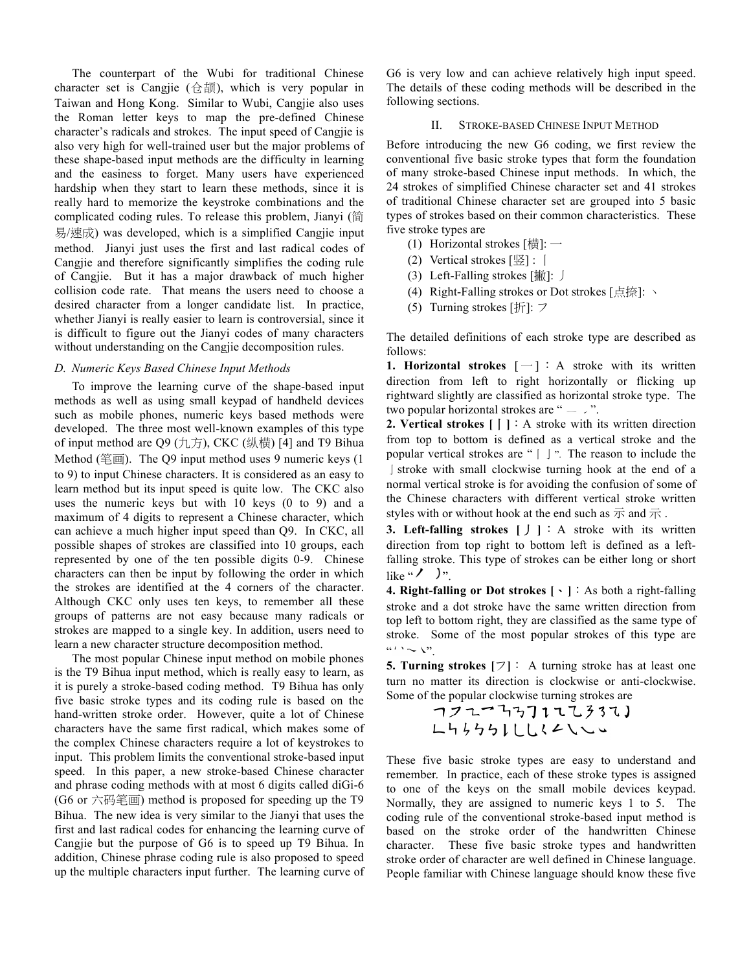The counterpart of the Wubi for traditional Chinese character set is Cangjie (仓颉), which is very popular in Taiwan and Hong Kong. Similar to Wubi, Cangjie also uses the Roman letter keys to map the pre-defined Chinese character's radicals and strokes. The input speed of Cangjie is also very high for well-trained user but the major problems of these shape-based input methods are the difficulty in learning and the easiness to forget. Many users have experienced hardship when they start to learn these methods, since it is really hard to memorize the keystroke combinations and the complicated coding rules. To release this problem, Jianyi (简 易/速成) was developed, which is a simplified Cangjie input method. Jianyi just uses the first and last radical codes of Cangjie and therefore significantly simplifies the coding rule of Cangjie. But it has a major drawback of much higher collision code rate. That means the users need to choose a desired character from a longer candidate list. In practice, whether Jianyi is really easier to learn is controversial, since it is difficult to figure out the Jianyi codes of many characters without understanding on the Cangjie decomposition rules.

#### *D. Numeric Keys Based Chinese Input Methods*

To improve the learning curve of the shape-based input methods as well as using small keypad of handheld devices such as mobile phones, numeric keys based methods were developed. The three most well-known examples of this type of input method are  $Q9$  (九方), CKC (纵横) [4] and T9 Bihua Method (笔画). The Q9 input method uses 9 numeric keys (1 to 9) to input Chinese characters. It is considered as an easy to learn method but its input speed is quite low. The CKC also uses the numeric keys but with 10 keys (0 to 9) and a maximum of 4 digits to represent a Chinese character, which can achieve a much higher input speed than Q9. In CKC, all possible shapes of strokes are classified into 10 groups, each represented by one of the ten possible digits 0-9. Chinese characters can then be input by following the order in which the strokes are identified at the 4 corners of the character. Although CKC only uses ten keys, to remember all these groups of patterns are not easy because many radicals or strokes are mapped to a single key. In addition, users need to learn a new character structure decomposition method.

The most popular Chinese input method on mobile phones is the T9 Bihua input method, which is really easy to learn, as it is purely a stroke-based coding method. T9 Bihua has only five basic stroke types and its coding rule is based on the hand-written stroke order. However, quite a lot of Chinese characters have the same first radical, which makes some of the complex Chinese characters require a lot of keystrokes to input. This problem limits the conventional stroke-based input speed. In this paper, a new stroke-based Chinese character and phrase coding methods with at most 6 digits called diGi-6 (G6 or 六码笔画) method is proposed for speeding up the T9 Bihua. The new idea is very similar to the Jianyi that uses the first and last radical codes for enhancing the learning curve of Cangjie but the purpose of G6 is to speed up T9 Bihua. In addition, Chinese phrase coding rule is also proposed to speed up the multiple characters input further. The learning curve of G6 is very low and can achieve relatively high input speed. The details of these coding methods will be described in the following sections.

#### II. STROKE-BASED CHINESE INPUT METHOD

Before introducing the new G6 coding, we first review the conventional five basic stroke types that form the foundation of many stroke-based Chinese input methods. In which, the 24 strokes of simplified Chinese character set and 41 strokes of traditional Chinese character set are grouped into 5 basic types of strokes based on their common characteristics. These five stroke types are

- (1) Horizontal strokes  $[\frac{1}{10}]$ : -
- (2) Vertical strokes [竖] : 丨
- (3) Left-Falling strokes [撇]: 丿
- (4) Right-Falling strokes or Dot strokes [点捺]: 丶
- (5) Turning strokes [折]: フ

The detailed definitions of each stroke type are described as follows:

**1. Horizontal strokes**  $[-]$  : A stroke with its written direction from left to right horizontally or flicking up rightward slightly are classified as horizontal stroke type. The two popular horizontal strokes are " $-$  .".

**2. Vertical strokes [**丨**]**:A stroke with its written direction from top to bottom is defined as a vertical stroke and the popular vertical strokes are " | J ". The reason to include the I stroke with small clockwise turning hook at the end of a normal vertical stroke is for avoiding the confusion of some of the Chinese characters with different vertical stroke written styles with or without hook at the end such as  $\overline{R}$  and  $\overline{R}$ .

**3. Left-falling strokes [***寸*]: A stroke with its written direction from top right to bottom left is defined as a leftfalling stroke. This type of strokes can be either long or short like " $\prime$  )".

**4. Right-falling or Dot strokes [**、**]**:As both a right-falling stroke and a dot stroke have the same written direction from top left to bottom right, they are classified as the same type of stroke. Some of the most popular strokes of this type are  $\alpha \mapsto \mathbb{R}^{m}$  .

**5. Turning strokes [**フ**]**: A turning stroke has at least one turn no matter its direction is clockwise or anti-clockwise. Some of the popular clockwise turning strokes are

These five basic stroke types are easy to understand and remember. In practice, each of these stroke types is assigned to one of the keys on the small mobile devices keypad. Normally, they are assigned to numeric keys 1 to 5. The coding rule of the conventional stroke-based input method is based on the stroke order of the handwritten Chinese character. These five basic stroke types and handwritten stroke order of character are well defined in Chinese language. People familiar with Chinese language should know these five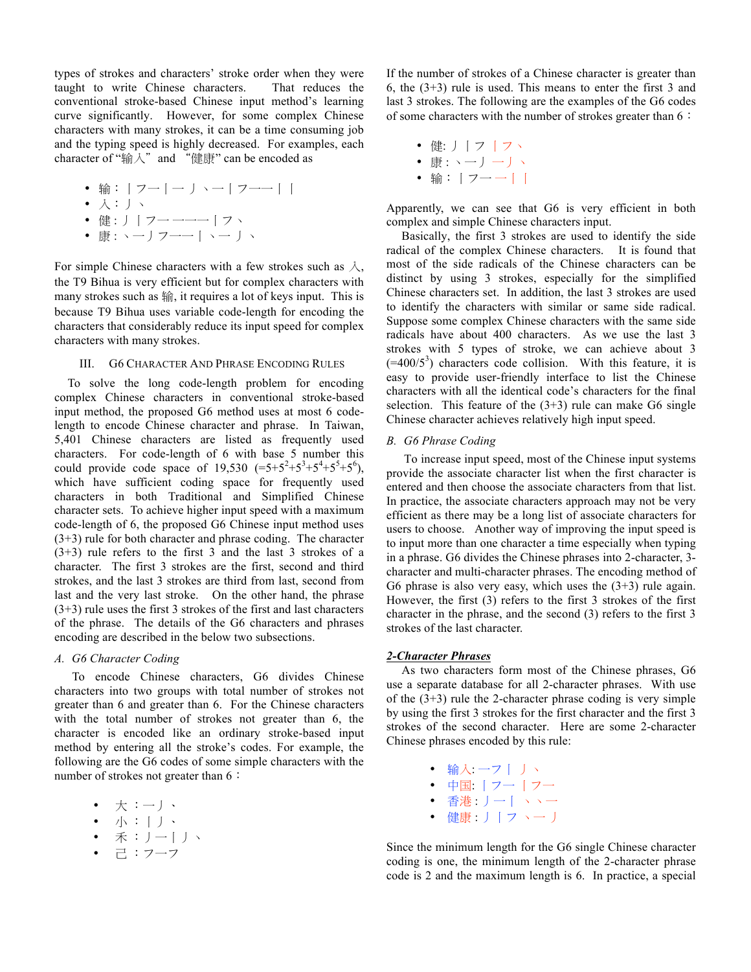types of strokes and characters' stroke order when they were taught to write Chinese characters. That reduces the conventional stroke-based Chinese input method's learning curve significantly. However, for some complex Chinese characters with many strokes, it can be a time consuming job and the typing speed is highly decreased. For examples, each character of "输入" and "健康" can be encoded as

• 输: | フー | ー J ヽー | フーー | |

$$
\bullet \ \curlywedge : \ \ J \ \curlywedge
$$

- 健 : 丿 | フー 一一一 | フヽ
- 康 : ヽ―丿フ――|ヽ― 丿ヽ

For simple Chinese characters with a few strokes such as 入, the T9 Bihua is very efficient but for complex characters with many strokes such as 输, it requires a lot of keys input. This is because T9 Bihua uses variable code-length for encoding the characters that considerably reduce its input speed for complex characters with many strokes.

# III. G6 CHARACTER AND PHRASE ENCODING RULES

To solve the long code-length problem for encoding complex Chinese characters in conventional stroke-based input method, the proposed G6 method uses at most 6 codelength to encode Chinese character and phrase. In Taiwan, 5,401 Chinese characters are listed as frequently used characters. For code-length of 6 with base 5 number this could provide code space of 19,530  $(=5+5^2+5^3+5^4+5^5+5^6)$ , which have sufficient coding space for frequently used characters in both Traditional and Simplified Chinese character sets. To achieve higher input speed with a maximum code-length of 6, the proposed G6 Chinese input method uses (3+3) rule for both character and phrase coding. The character (3+3) rule refers to the first 3 and the last 3 strokes of a character. The first 3 strokes are the first, second and third strokes, and the last 3 strokes are third from last, second from last and the very last stroke. On the other hand, the phrase (3+3) rule uses the first 3 strokes of the first and last characters of the phrase. The details of the G6 characters and phrases encoding are described in the below two subsections.

# *A. G6 Character Coding*

To encode Chinese characters, G6 divides Chinese characters into two groups with total number of strokes not greater than 6 and greater than 6. For the Chinese characters with the total number of strokes not greater than 6, the character is encoded like an ordinary stroke-based input method by entering all the stroke's codes. For example, the following are the G6 codes of some simple characters with the number of strokes not greater than 6:

- 大 :一丿、
- 小 :丨丿、
- 禾 :丿一丨丿丶
- 己 :フ一フ

If the number of strokes of a Chinese character is greater than 6, the (3+3) rule is used. This means to enter the first 3 and last 3 strokes. The following are the examples of the G6 codes of some characters with the number of strokes greater than 6:

- 健: 丿丨フ 丨フ丶
- 康 : ヽー リ ー リ ヽ
- \*\*・ ノ ノ<br>• 输:|フー ─||

Apparently, we can see that G6 is very efficient in both complex and simple Chinese characters input.

 Basically, the first 3 strokes are used to identify the side radical of the complex Chinese characters. It is found that most of the side radicals of the Chinese characters can be distinct by using 3 strokes, especially for the simplified Chinese characters set. In addition, the last 3 strokes are used to identify the characters with similar or same side radical. Suppose some complex Chinese characters with the same side radicals have about 400 characters. As we use the last 3 strokes with 5 types of stroke, we can achieve about 3  $(=400/5^3)$  characters code collision. With this feature, it is easy to provide user-friendly interface to list the Chinese characters with all the identical code's characters for the final selection. This feature of the  $(3+3)$  rule can make G6 single Chinese character achieves relatively high input speed.

## *B. G6 Phrase Coding*

To increase input speed, most of the Chinese input systems provide the associate character list when the first character is entered and then choose the associate characters from that list. In practice, the associate characters approach may not be very efficient as there may be a long list of associate characters for users to choose. Another way of improving the input speed is to input more than one character a time especially when typing in a phrase. G6 divides the Chinese phrases into 2-character, 3 character and multi-character phrases. The encoding method of G6 phrase is also very easy, which uses the (3+3) rule again. However, the first (3) refers to the first 3 strokes of the first character in the phrase, and the second (3) refers to the first 3 strokes of the last character.

# *2-Character Phrases*

 As two characters form most of the Chinese phrases, G6 use a separate database for all 2-character phrases. With use of the  $(3+3)$  rule the 2-character phrase coding is very simple by using the first 3 strokes for the first character and the first 3 strokes of the second character. Here are some 2-character Chinese phrases encoded by this rule:

- 输入: 一フ丨 丿丶 ● 中国: | フー | フー
- 香港 : 丿一 | ヽ ヽ一
- 健康 : 丿 | フ ヽ― 丿

Since the minimum length for the G6 single Chinese character coding is one, the minimum length of the 2-character phrase code is 2 and the maximum length is 6. In practice, a special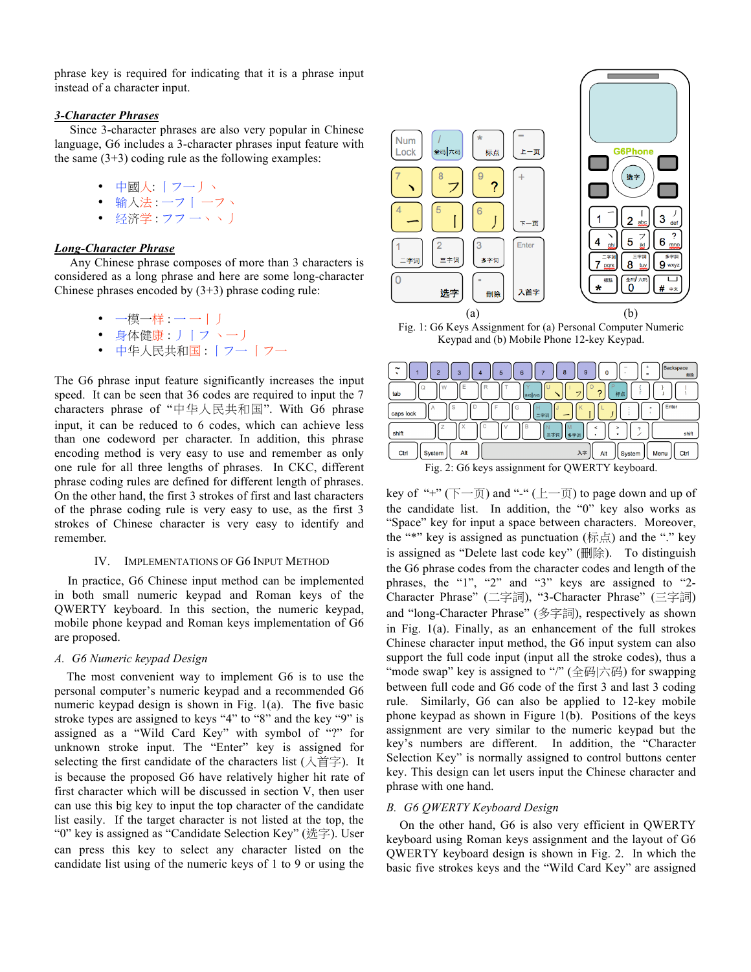phrase key is required for indicating that it is a phrase input instead of a character input.

# *3-Character Phrases*

 Since 3-character phrases are also very popular in Chinese language, G6 includes a 3-character phrases input feature with the same  $(3+3)$  coding rule as the following examples:

- 中國人: 丨フ一丿丶
- 输入法 : 一フ丨 一フヽ
- 经济学 : フフ 一ヽヽ 」

# *Long-Character Phrase*

 Any Chinese phrase composes of more than 3 characters is considered as a long phrase and here are some long-character Chinese phrases encoded by (3+3) phrase coding rule:

- 一模一样 : 一一 | 丿
- 身体健康 : 丿丨フ 丶一丿
- 中华人民共和国 : 丨フ一 丨フ一

The G6 phrase input feature significantly increases the input speed. It can be seen that 36 codes are required to input the 7 characters phrase of "中华人民共和国". With G6 phrase input, it can be reduced to 6 codes, which can achieve less than one codeword per character. In addition, this phrase encoding method is very easy to use and remember as only one rule for all three lengths of phrases. In CKC, different phrase coding rules are defined for different length of phrases. On the other hand, the first 3 strokes of first and last characters of the phrase coding rule is very easy to use, as the first 3 strokes of Chinese character is very easy to identify and remember.

#### IV. IMPLEMENTATIONS OF G6 INPUT METHOD

In practice, G6 Chinese input method can be implemented in both small numeric keypad and Roman keys of the QWERTY keyboard. In this section, the numeric keypad, mobile phone keypad and Roman keys implementation of G6 are proposed.

# *A. G6 Numeric keypad Design*

 The most convenient way to implement G6 is to use the personal computer's numeric keypad and a recommended G6 numeric keypad design is shown in Fig. 1(a). The five basic stroke types are assigned to keys "4" to "8" and the key "9" is assigned as a "Wild Card Key" with symbol of "?" for unknown stroke input. The "Enter" key is assigned for selecting the first candidate of the characters list (入首字). It is because the proposed G6 have relatively higher hit rate of first character which will be discussed in section V, then user can use this big key to input the top character of the candidate list easily. If the target character is not listed at the top, the "0" key is assigned as "Candidate Selection Key" (选字). User can press this key to select any character listed on the candidate list using of the numeric keys of 1 to 9 or using the



Fig. 1: G6 Keys Assignment for (a) Personal Computer Numeric Keypad and (b) Mobile Phone 12-key Keypad.

| Backspace<br>~<br>8<br>9<br>$\overline{2}$<br>6<br>3<br>$\mathbf 0$<br>5<br>4<br>۰.<br>删除<br>$\equiv$ |
|-------------------------------------------------------------------------------------------------------|
| u<br>œ<br>tab<br>标点<br>全码 六码                                                                          |
| Enter<br>caps lock<br>二字词                                                                             |
| B<br>shift<br>shift<br>三字词<br>多字词<br>۰                                                                |
| Ctrl<br>Alt<br>入字<br>System<br>Ctrl<br>Menu<br>Alt<br>System                                          |
| $\Gamma$ ig. 2: $C_f$ kays assignment for OWEDTV kayboord                                             |

Fig. 2: G6 keys assignment for QWERTY keyboard.

key of "+"  $(\overline{\mathbb{F}} - \overline{\mathbb{F}})$  and "-"  $(\underline{\mathbb{F}} - \overline{\mathbb{F}})$  to page down and up of the candidate list. In addition, the "0" key also works as "Space" key for input a space between characters. Moreover, the "\*" key is assigned as punctuation  $(\text{m/s})$  and the "." key is assigned as "Delete last code key" (刪除). To distinguish the G6 phrase codes from the character codes and length of the phrases, the "1", "2" and "3" keys are assigned to "2- Character Phrase" (二字詞), "3-Character Phrase" (三字詞) and "long-Character Phrase" (多字詞), respectively as shown in Fig. 1(a). Finally, as an enhancement of the full strokes Chinese character input method, the G6 input system can also support the full code input (input all the stroke codes), thus a "mode swap" key is assigned to "/" (全码|六码) for swapping between full code and G6 code of the first 3 and last 3 coding rule. Similarly, G6 can also be applied to 12-key mobile phone keypad as shown in Figure 1(b). Positions of the keys assignment are very similar to the numeric keypad but the key's numbers are different. In addition, the "Character Selection Key" is normally assigned to control buttons center key. This design can let users input the Chinese character and phrase with one hand.

#### *B. G6 QWERTY Keyboard Design*

On the other hand, G6 is also very efficient in QWERTY keyboard using Roman keys assignment and the layout of G6 QWERTY keyboard design is shown in Fig. 2. In which the basic five strokes keys and the "Wild Card Key" are assigned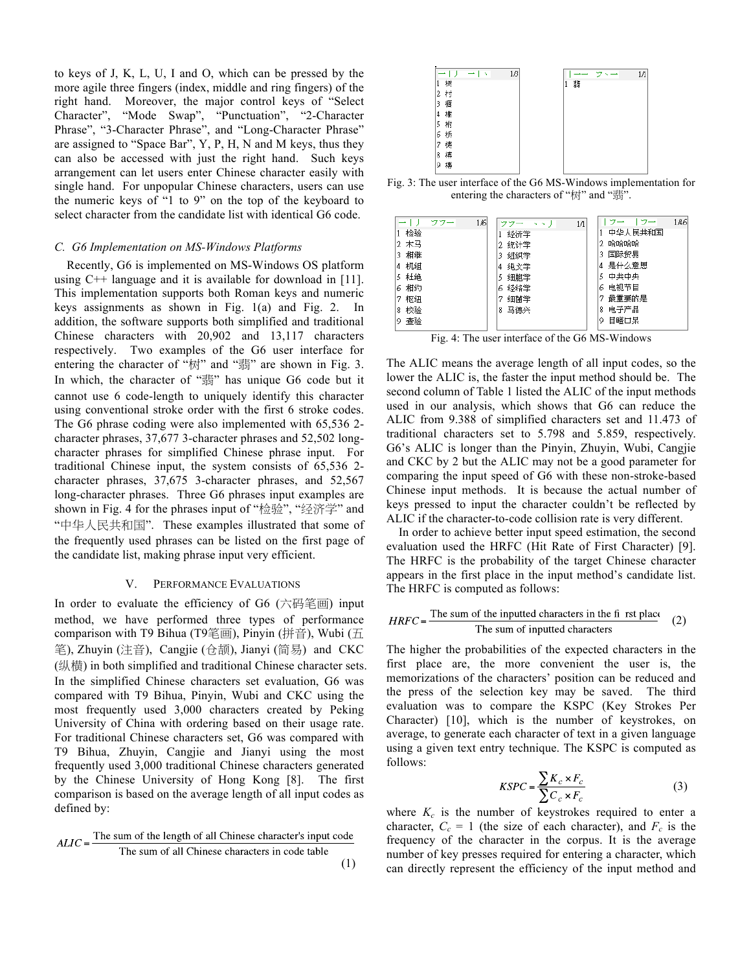to keys of J, K, L, U, I and O, which can be pressed by the more agile three fingers (index, middle and ring fingers) of the right hand. Moreover, the major control keys of "Select Character", "Mode Swap", "Punctuation", "2-Character Phrase", "3-Character Phrase", and "Long-Character Phrase" are assigned to "Space Bar", Y, P, H, N and M keys, thus they can also be accessed with just the right hand. Such keys arrangement can let users enter Chinese character easily with single hand. For unpopular Chinese characters, users can use the numeric keys of "1 to 9" on the top of the keyboard to select character from the candidate list with identical G6 code.

#### *C. G6 Implementation on MS-Windows Platforms*

 Recently, G6 is implemented on MS-Windows OS platform using C++ language and it is available for download in [11]. This implementation supports both Roman keys and numeric keys assignments as shown in Fig. 1(a) and Fig. 2. In addition, the software supports both simplified and traditional Chinese characters with 20,902 and 13,117 characters respectively. Two examples of the G6 user interface for entering the character of "树" and "翡" are shown in Fig. 3. In which, the character of "翡" has unique G6 code but it cannot use 6 code-length to uniquely identify this character using conventional stroke order with the first 6 stroke codes. The G6 phrase coding were also implemented with 65,536 2 character phrases, 37,677 3-character phrases and 52,502 longcharacter phrases for simplified Chinese phrase input. For traditional Chinese input, the system consists of 65,536 2 character phrases, 37,675 3-character phrases, and 52,567 long-character phrases. Three G6 phrases input examples are shown in Fig. 4 for the phrases input of "检验", "经济学" and "中华人民共和国". These examples illustrated that some of the frequently used phrases can be listed on the first page of the candidate list, making phrase input very efficient.

# V. PERFORMANCE EVALUATIONS

In order to evaluate the efficiency of G6 (六码笔画) input method, we have performed three types of performance comparison with T9 Bihua (T9笔画), Pinyin (拼音), Wubi (五 笔), Zhuyin (注音), Cangjie (仓颉), Jianyi (简易) and CKC (纵横) in both simplified and traditional Chinese character sets. In the simplified Chinese characters set evaluation, G6 was compared with T9 Bihua, Pinyin, Wubi and CKC using the most frequently used 3,000 characters created by Peking University of China with ordering based on their usage rate. For traditional Chinese characters set, G6 was compared with T9 Bihua, Zhuyin, Cangjie and Jianyi using the most frequently used 3,000 traditional Chinese characters generated by the Chinese University of Hong Kong [8]. The first comparison is based on the average length of all input codes as defined by:

$$
ALIC = \frac{\text{The sum of the length of all Chinese character's input code}}{\text{The sum of all Chinese characters in code table}} \tag{1}
$$



entering the characters of "树" and "翡".

Fig. 4: The user interface of the G6 MS-Windows

The ALIC means the average length of all input codes, so the lower the ALIC is, the faster the input method should be. The second column of Table 1 listed the ALIC of the input methods used in our analysis, which shows that G6 can reduce the ALIC from 9.388 of simplified characters set and 11.473 of traditional characters set to 5.798 and 5.859, respectively. G6's ALIC is longer than the Pinyin, Zhuyin, Wubi, Cangjie and CKC by 2 but the ALIC may not be a good parameter for comparing the input speed of G6 with these non-stroke-based Chinese input methods. It is because the actual number of keys pressed to input the character couldn't be reflected by ALIC if the character-to-code collision rate is very different.

 In order to achieve better input speed estimation, the second evaluation used the HRFC (Hit Rate of First Character) [9]. The HRFC is the probability of the target Chinese character appears in the first place in the input method's candidate list. The HRFC is computed as follows:

$$
HRFC = \frac{\text{The sum of the inputted characters in the fi rest place}}{\text{The sum of inputted characters}} \quad (2)
$$

The higher the probabilities of the expected characters in the first place are, the more convenient the user is, the memorizations of the characters' position can be reduced and the press of the selection key may be saved. The third evaluation was to compare the KSPC (Key Strokes Per Character) [10], which is the number of keystrokes, on average, to generate each character of text in a given language using a given text entry technique. The KSPC is computed as follows:

$$
KSPC = \frac{\sum K_c \times F_c}{\sum C_c \times F_c}
$$
 (3)

where  $K_c$  is the number of keystrokes required to enter a character,  $C_c = 1$  (the size of each character), and  $F_c$  is the frequency of the character in the corpus. It is the average number of key presses required for entering a character, which can directly represent the efficiency of the input method and